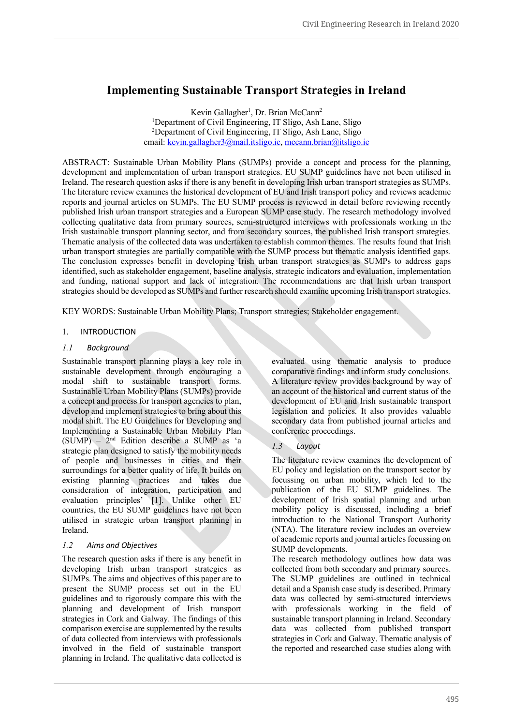# **Implementing Sustainable Transport Strategies in Ireland**

Kevin Gallagher<sup>1</sup>, Dr. Brian McCann<sup>2</sup> <sup>1</sup>Department of Civil Engineering, IT Sligo, Ash Lane, Sligo 2 Department of Civil Engineering, IT Sligo, Ash Lane, Sligo email: kevin.gallagher3@mail.itsligo.ie, mccann.brian@itsligo.ie

ABSTRACT: Sustainable Urban Mobility Plans (SUMPs) provide a concept and process for the planning, development and implementation of urban transport strategies. EU SUMP guidelines have not been utilised in Ireland. The research question asks if there is any benefit in developing Irish urban transport strategies as SUMPs. The literature review examines the historical development of EU and Irish transport policy and reviews academic reports and journal articles on SUMPs. The EU SUMP process is reviewed in detail before reviewing recently published Irish urban transport strategies and a European SUMP case study. The research methodology involved collecting qualitative data from primary sources, semi-structured interviews with professionals working in the Irish sustainable transport planning sector, and from secondary sources, the published Irish transport strategies. Thematic analysis of the collected data was undertaken to establish common themes. The results found that Irish urban transport strategies are partially compatible with the SUMP process but thematic analysis identified gaps. The conclusion expresses benefit in developing Irish urban transport strategies as SUMPs to address gaps identified, such as stakeholder engagement, baseline analysis, strategic indicators and evaluation, implementation and funding, national support and lack of integration. The recommendations are that Irish urban transport strategiesshould be developed as SUMPs and further research should examine upcoming Irish transport strategies.

KEY WORDS: Sustainable Urban Mobility Plans; Transport strategies; Stakeholder engagement.

#### 1. INTRODUCTION

# *1.1 Background*

Sustainable transport planning plays a key role in sustainable development through encouraging a modal shift to sustainable transport forms. Sustainable Urban Mobility Plans (SUMPs) provide a concept and process for transport agencies to plan, develop and implement strategies to bring about this modal shift. The EU Guidelines for Developing and Implementing a Sustainable Urban Mobility Plan  $(SUMP) - 2<sup>nd</sup> Edition describe a SUMP as 'a$ strategic plan designed to satisfy the mobility needs of people and businesses in cities and their surroundings for a better quality of life. It builds on existing planning practices and takes due consideration of integration, participation and evaluation principles' [1]. Unlike other EU countries, the EU SUMP guidelines have not been utilised in strategic urban transport planning in Ireland.

#### *1.2 Aims and Objectives*

The research question asks if there is any benefit in developing Irish urban transport strategies as SUMPs. The aims and objectives of this paper are to present the SUMP process set out in the EU guidelines and to rigorously compare this with the planning and development of Irish transport strategies in Cork and Galway. The findings of this comparison exercise are supplemented by the results of data collected from interviews with professionals involved in the field of sustainable transport planning in Ireland. The qualitative data collected is

evaluated using thematic analysis to produce comparative findings and inform study conclusions. A literature review provides background by way of an account of the historical and current status of the development of EU and Irish sustainable transport legislation and policies. It also provides valuable secondary data from published journal articles and conference proceedings.

# *1.3 Layout*

The literature review examines the development of EU policy and legislation on the transport sector by focussing on urban mobility, which led to the publication of the EU SUMP guidelines. The development of Irish spatial planning and urban mobility policy is discussed, including a brief introduction to the National Transport Authority (NTA). The literature review includes an overview of academic reports and journal articles focussing on SUMP developments.

The research methodology outlines how data was collected from both secondary and primary sources. The SUMP guidelines are outlined in technical detail and a Spanish case study is described. Primary data was collected by semi-structured interviews with professionals working in the field of sustainable transport planning in Ireland. Secondary data was collected from published transport strategies in Cork and Galway. Thematic analysis of the reported and researched case studies along with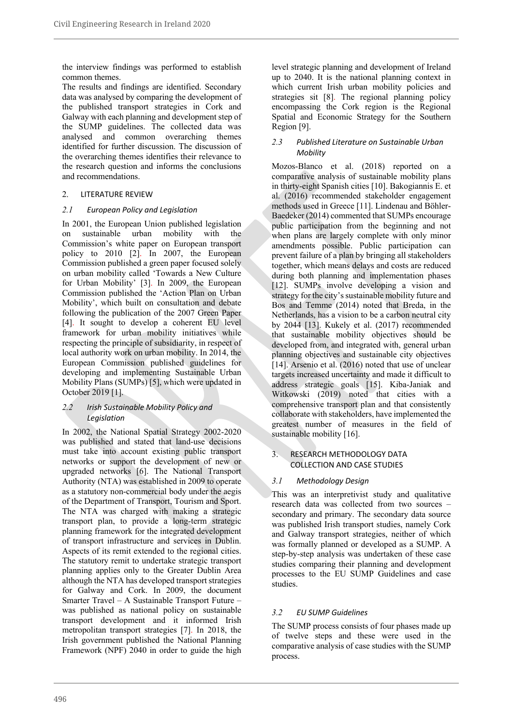the interview findings was performed to establish common themes.

The results and findings are identified. Secondary data was analysed by comparing the development of the published transport strategies in Cork and Galway with each planning and development step of the SUMP guidelines. The collected data was analysed and common overarching themes identified for further discussion. The discussion of the overarching themes identifies their relevance to the research question and informs the conclusions and recommendations.

# 2. LITERATURE REVIEW

# *2.1 European Policy and Legislation*

In 2001, the European Union published legislation on sustainable urban mobility with the Commission's white paper on European transport policy to 2010 [2]. In 2007, the European Commission published a green paper focused solely on urban mobility called 'Towards a New Culture for Urban Mobility' [3]. In 2009, the European Commission published the 'Action Plan on Urban Mobility', which built on consultation and debate following the publication of the 2007 Green Paper [4]. It sought to develop a coherent EU level framework for urban mobility initiatives while respecting the principle of subsidiarity, in respect of local authority work on urban mobility. In 2014, the European Commission published guidelines for developing and implementing Sustainable Urban Mobility Plans (SUMPs) [5], which were updated in October 2019 [1].

#### *2.2 Irish Sustainable Mobility Policy and Legislation*

In 2002, the National Spatial Strategy 2002-2020 was published and stated that land-use decisions must take into account existing public transport networks or support the development of new or upgraded networks [6]. The National Transport Authority (NTA) was established in 2009 to operate as a statutory non-commercial body under the aegis of the Department of Transport, Tourism and Sport. The NTA was charged with making a strategic transport plan, to provide a long-term strategic planning framework for the integrated development of transport infrastructure and services in Dublin. Aspects of its remit extended to the regional cities. The statutory remit to undertake strategic transport planning applies only to the Greater Dublin Area although the NTA has developed transport strategies for Galway and Cork. In 2009, the document Smarter Travel – A Sustainable Transport Future – was published as national policy on sustainable transport development and it informed Irish metropolitan transport strategies [7]. In 2018, the Irish government published the National Planning Framework (NPF) 2040 in order to guide the high level strategic planning and development of Ireland up to 2040. It is the national planning context in which current Irish urban mobility policies and strategies sit [8]. The regional planning policy encompassing the Cork region is the Regional Spatial and Economic Strategy for the Southern Region [9].

# *2.3 Published Literature on Sustainable Urban Mobility*

Mozos-Blanco et al. (2018) reported on a comparative analysis of sustainable mobility plans in thirty-eight Spanish cities [10]. Bakogiannis E. et al. (2016) recommended stakeholder engagement methods used in Greece [11]. Lindenau and Böhler-Baedeker (2014) commented that SUMPs encourage public participation from the beginning and not when plans are largely complete with only minor amendments possible. Public participation can prevent failure of a plan by bringing all stakeholders together, which means delays and costs are reduced during both planning and implementation phases [12]. SUMPs involve developing a vision and strategy for the city's sustainable mobility future and Bos and Temme (2014) noted that Breda, in the Netherlands, has a vision to be a carbon neutral city by 2044 [13]. Kukely et al. (2017) recommended that sustainable mobility objectives should be developed from, and integrated with, general urban planning objectives and sustainable city objectives [14]. Arsenio et al. (2016) noted that use of unclear targets increased uncertainty and made it difficult to address strategic goals [15]. Kiba-Janiak and Witkowski (2019) noted that cities with a comprehensive transport plan and that consistently collaborate with stakeholders, have implemented the greatest number of measures in the field of sustainable mobility [16].

# 3. RESEARCH METHODOLOGY DATA COLLECTION AND CASE STUDIES

# *3.1 Methodology Design*

This was an interpretivist study and qualitative research data was collected from two sources – secondary and primary. The secondary data source was published Irish transport studies, namely Cork and Galway transport strategies, neither of which was formally planned or developed as a SUMP. A step-by-step analysis was undertaken of these case studies comparing their planning and development processes to the EU SUMP Guidelines and case studies.

# *3.2 EU SUMP Guidelines*

The SUMP process consists of four phases made up of twelve steps and these were used in the comparative analysis of case studies with the SUMP process.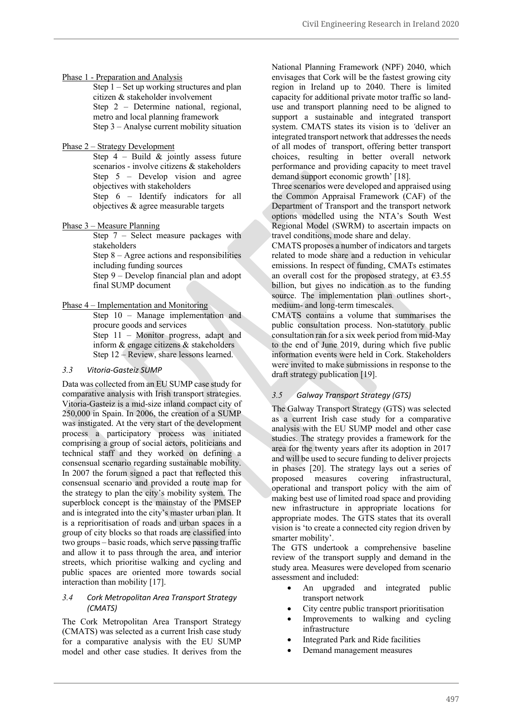#### Phase 1 - Preparation and Analysis

Step 1 – Set up working structures and plan citizen & stakeholder involvement Step 2 – Determine national, regional, metro and local planning framework Step 3 – Analyse current mobility situation

#### Phase 2 – Strategy Development

Step  $4$  – Build & jointly assess future scenarios - involve citizens & stakeholders Step 5 – Develop vision and agree objectives with stakeholders Step 6 – Identify indicators for all objectives & agree measurable targets

# Phase 3 – Measure Planning

Step 7 – Select measure packages with stakeholders

Step 8 – Agree actions and responsibilities including funding sources

Step 9 – Develop financial plan and adopt final SUMP document

#### Phase 4 – Implementation and Monitoring

Step 10 – Manage implementation and procure goods and services Step 11 – Monitor progress, adapt and inform & engage citizens & stakeholders

Step 12 – Review, share lessons learned.

#### *3.3 Vitoria-Gasteiz SUMP*

Data was collected from an EU SUMP case study for comparative analysis with Irish transport strategies. Vitoria-Gasteiz is a mid-size inland compact city of 250,000 in Spain. In 2006, the creation of a SUMP was instigated. At the very start of the development process a participatory process was initiated comprising a group of social actors, politicians and technical staff and they worked on defining a consensual scenario regarding sustainable mobility. In 2007 the forum signed a pact that reflected this consensual scenario and provided a route map for the strategy to plan the city's mobility system. The superblock concept is the mainstay of the PMSEP and is integrated into the city's master urban plan. It is a reprioritisation of roads and urban spaces in a group of city blocks so that roads are classified into two groups – basic roads, which serve passing traffic and allow it to pass through the area, and interior streets, which prioritise walking and cycling and public spaces are oriented more towards social interaction than mobility [17].

### *3.4 Cork Metropolitan Area Transport Strategy (CMATS)*

The Cork Metropolitan Area Transport Strategy (CMATS) was selected as a current Irish case study for a comparative analysis with the EU SUMP model and other case studies. It derives from the

National Planning Framework (NPF) 2040, which envisages that Cork will be the fastest growing city region in Ireland up to 2040. There is limited capacity for additional private motor traffic so landuse and transport planning need to be aligned to support a sustainable and integrated transport system. CMATS states its vision is to *'*deliver an integrated transport network that addresses the needs of all modes of transport, offering better transport choices, resulting in better overall network performance and providing capacity to meet travel demand support economic growth' [18].

Three scenarios were developed and appraised using the Common Appraisal Framework (CAF) of the Department of Transport and the transport network options modelled using the NTA's South West Regional Model (SWRM) to ascertain impacts on travel conditions, mode share and delay.

CMATS proposes a number of indicators and targets related to mode share and a reduction in vehicular emissions. In respect of funding, CMATs estimates an overall cost for the proposed strategy, at  $\epsilon$ 3.55 billion, but gives no indication as to the funding source. The implementation plan outlines short-, medium- and long-term timescales.

CMATS contains a volume that summarises the public consultation process. Non-statutory public consultation ran for a six week period from mid-May to the end of June 2019, during which five public information events were held in Cork. Stakeholders were invited to make submissions in response to the draft strategy publication [19].

# *3.5 Galway Transport Strategy (GTS)*

The Galway Transport Strategy (GTS) was selected as a current Irish case study for a comparative analysis with the EU SUMP model and other case studies. The strategy provides a framework for the area for the twenty years after its adoption in 2017 and will be used to secure funding to deliver projects in phases [20]. The strategy lays out a series of proposed measures covering infrastructural, operational and transport policy with the aim of making best use of limited road space and providing new infrastructure in appropriate locations for appropriate modes. The GTS states that its overall vision is 'to create a connected city region driven by smarter mobility'.

The GTS undertook a comprehensive baseline review of the transport supply and demand in the study area. Measures were developed from scenario assessment and included:

- An upgraded and integrated public transport network
- City centre public transport prioritisation
- Improvements to walking and cycling infrastructure
- Integrated Park and Ride facilities
- Demand management measures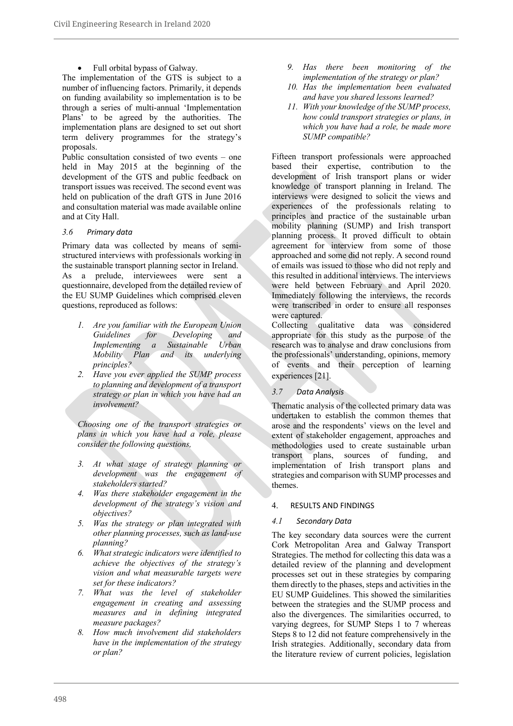• Full orbital bypass of Galway.

The implementation of the GTS is subject to a number of influencing factors. Primarily, it depends on funding availability so implementation is to be through a series of multi-annual 'Implementation Plans' to be agreed by the authorities. The implementation plans are designed to set out short term delivery programmes for the strategy's proposals.

Public consultation consisted of two events – one held in May 2015 at the beginning of the development of the GTS and public feedback on transport issues was received. The second event was held on publication of the draft GTS in June 2016 and consultation material was made available online and at City Hall.

# *3.6 Primary data*

Primary data was collected by means of semistructured interviews with professionals working in the sustainable transport planning sector in Ireland. As a prelude, interviewees were sent a questionnaire, developed from the detailed review of the EU SUMP Guidelines which comprised eleven questions, reproduced as follows:

- *1. Are you familiar with the European Union Guidelines for Developing and Implementing a Sustainable Urban Mobility Plan and its underlying principles?*
- *2. Have you ever applied the SUMP process to planning and development of a transport strategy or plan in which you have had an involvement?*

*Choosing one of the transport strategies or plans in which you have had a role, please consider the following questions,*

- *3. At what stage of strategy planning or development was the engagement of stakeholders started?*
- *4. Was there stakeholder engagement in the development of the strategy's vision and objectives?*
- *5. Was the strategy or plan integrated with other planning processes, such as land-use planning?*
- *6. What strategic indicators were identified to achieve the objectives of the strategy's vision and what measurable targets were set for these indicators?*
- *7. What was the level of stakeholder engagement in creating and assessing measures and in defining integrated measure packages?*
- *8. How much involvement did stakeholders have in the implementation of the strategy or plan?*
- *9. Has there been monitoring of the implementation of the strategy or plan?*
- *10. Has the implementation been evaluated and have you shared lessons learned?*
- *11. With your knowledge of the SUMP process, how could transport strategies or plans, in which you have had a role, be made more SUMP compatible?*

Fifteen transport professionals were approached based their expertise, contribution to the development of Irish transport plans or wider knowledge of transport planning in Ireland. The interviews were designed to solicit the views and experiences of the professionals relating to principles and practice of the sustainable urban mobility planning (SUMP) and Irish transport planning process. It proved difficult to obtain agreement for interview from some of those approached and some did not reply. A second round of emails was issued to those who did not reply and this resulted in additional interviews. The interviews were held between February and April 2020. Immediately following the interviews, the records were transcribed in order to ensure all responses were captured.

Collecting qualitative data was considered appropriate for this study as the purpose of the research was to analyse and draw conclusions from the professionals' understanding, opinions, memory of events and their perception of learning experiences [21].

# *3.7 Data Analysis*

Thematic analysis of the collected primary data was undertaken to establish the common themes that arose and the respondents' views on the level and extent of stakeholder engagement, approaches and methodologies used to create sustainable urban transport plans, sources of funding, and implementation of Irish transport plans and strategies and comparison with SUMP processes and themes.

#### 4. RESULTS AND FINDINGS

# *4.1 Secondary Data*

The key secondary data sources were the current Cork Metropolitan Area and Galway Transport Strategies. The method for collecting this data was a detailed review of the planning and development processes set out in these strategies by comparing them directly to the phases, steps and activities in the EU SUMP Guidelines. This showed the similarities between the strategies and the SUMP process and also the divergences. The similarities occurred, to varying degrees, for SUMP Steps 1 to 7 whereas Steps 8 to 12 did not feature comprehensively in the Irish strategies. Additionally, secondary data from the literature review of current policies, legislation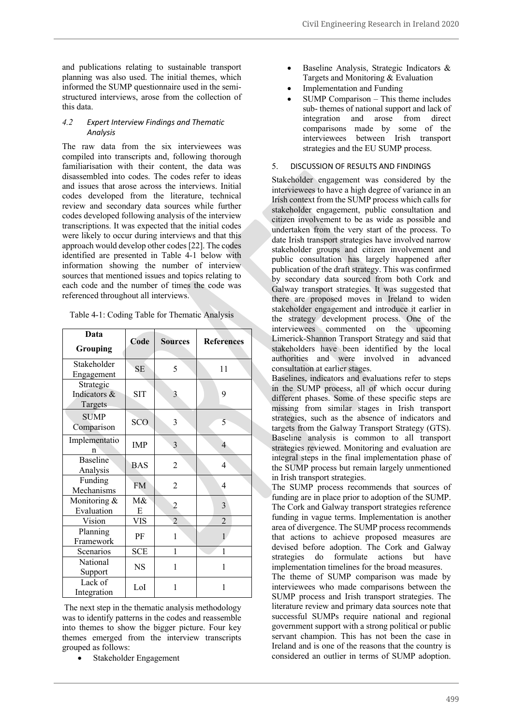and publications relating to sustainable transport planning was also used. The initial themes, which informed the SUMP questionnaire used in the semistructured interviews, arose from the collection of this data.

### *4.2 Expert Interview Findings and Thematic Analysis*

The raw data from the six interviewees was compiled into transcripts and, following thorough familiarisation with their content, the data was disassembled into codes. The codes refer to ideas and issues that arose across the interviews. Initial codes developed from the literature, technical review and secondary data sources while further codes developed following analysis of the interview transcriptions. It was expected that the initial codes were likely to occur during interviews and that this approach would develop other codes[22]. The codes identified are presented in Table 4-1 below with information showing the number of interview sources that mentioned issues and topics relating to each code and the number of times the code was referenced throughout all interviews.

| Table 4-1: Coding Table for Thematic Analysis |  |  |  |
|-----------------------------------------------|--|--|--|
|-----------------------------------------------|--|--|--|

| Data<br><b>Grouping</b>              | Code       | <b>Sources</b> | <b>References</b> |
|--------------------------------------|------------|----------------|-------------------|
| Stakeholder<br>Engagement            | <b>SE</b>  | 5              | 11                |
| Strategic<br>Indicators &<br>Targets | <b>SIT</b> | 3              | 9                 |
| <b>SUMP</b><br>Comparison            | SCO        | 3              | 5                 |
| Implementatio<br>n                   | <b>IMP</b> | 3              | 4                 |
| <b>Baseline</b><br>Analysis          | <b>BAS</b> | $\overline{c}$ | 4                 |
| Funding<br>Mechanisms                | <b>FM</b>  | 2              | 4                 |
| Monitoring &<br>Evaluation           | M&<br>E    | $\overline{c}$ | 3                 |
| Vision                               | <b>VIS</b> | $\overline{2}$ | $\overline{2}$    |
| Planning<br>Framework                | PF         | $\mathbf{1}$   | 1                 |
| Scenarios                            | <b>SCE</b> | 1              | 1                 |
| National<br>Support                  | <b>NS</b>  | 1              | 1                 |
| Lack of<br>Integration               | LoI        | 1              | 1                 |

The next step in the thematic analysis methodology was to identify patterns in the codes and reassemble into themes to show the bigger picture. Four key themes emerged from the interview transcripts grouped as follows:

• Stakeholder Engagement

- Baseline Analysis, Strategic Indicators & Targets and Monitoring & Evaluation
- Implementation and Funding
- SUMP Comparison This theme includes sub- themes of national support and lack of integration and arose from direct comparisons made by some of the interviewees between Irish transport strategies and the EU SUMP process.

# 5. DISCUSSION OF RESULTS AND FINDINGS

Stakeholder engagement was considered by the interviewees to have a high degree of variance in an Irish context from the SUMP process which calls for stakeholder engagement, public consultation and citizen involvement to be as wide as possible and undertaken from the very start of the process. To date Irish transport strategies have involved narrow stakeholder groups and citizen involvement and public consultation has largely happened after publication of the draft strategy. This was confirmed by secondary data sourced from both Cork and Galway transport strategies. It was suggested that there are proposed moves in Ireland to widen stakeholder engagement and introduce it earlier in the strategy development process. One of the interviewees commented on the upcoming Limerick-Shannon Transport Strategy and said that stakeholders have been identified by the local authorities and were involved in advanced consultation at earlier stages.

Baselines, indicators and evaluations refer to steps in the SUMP process, all of which occur during different phases. Some of these specific steps are missing from similar stages in Irish transport strategies, such as the absence of indicators and targets from the Galway Transport Strategy (GTS). Baseline analysis is common to all transport strategies reviewed. Monitoring and evaluation are integral steps in the final implementation phase of the SUMP process but remain largely unmentioned in Irish transport strategies.

The SUMP process recommends that sources of funding are in place prior to adoption of the SUMP. The Cork and Galway transport strategies reference funding in vague terms. Implementation is another area of divergence. The SUMP process recommends that actions to achieve proposed measures are devised before adoption. The Cork and Galway strategies do formulate actions but have implementation timelines for the broad measures.

The theme of SUMP comparison was made by interviewees who made comparisons between the SUMP process and Irish transport strategies. The literature review and primary data sources note that successful SUMPs require national and regional government support with a strong political or public servant champion. This has not been the case in Ireland and is one of the reasons that the country is considered an outlier in terms of SUMP adoption.